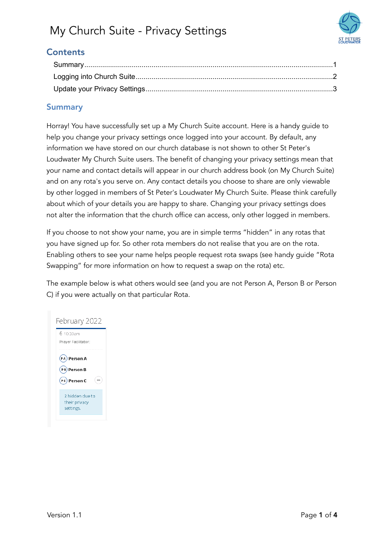

## **Contents**

### <span id="page-0-0"></span>Summary

Horray! You have successfully set up a My Church Suite account. Here is a handy guide to help you change your privacy settings once logged into your account. By default, any information we have stored on our church database is not shown to other St Peter's Loudwater My Church Suite users. The benefit of changing your privacy settings mean that your name and contact details will appear in our church address book (on My Church Suite) and on any rota's you serve on. Any contact details you choose to share are only viewable by other logged in members of St Peter's Loudwater My Church Suite. Please think carefully about which of your details you are happy to share. Changing your privacy settings does not alter the information that the church office can access, only other logged in members.

If you choose to not show your name, you are in simple terms "hidden" in any rotas that you have signed up for. So other rota members do not realise that you are on the rota. Enabling others to see your name helps people request rota swaps (see handy guide "Rota Swapping" for more information on how to request a swap on the rota) etc.

The example below is what others would see (and you are not Person A, Person B or Person C) if you were actually on that particular Rota.

## February 2022 6 10:30am Praver Facilitator: (PA) Person A (PB) Person B (PC) Person C 2 hidden due to their privacy settings.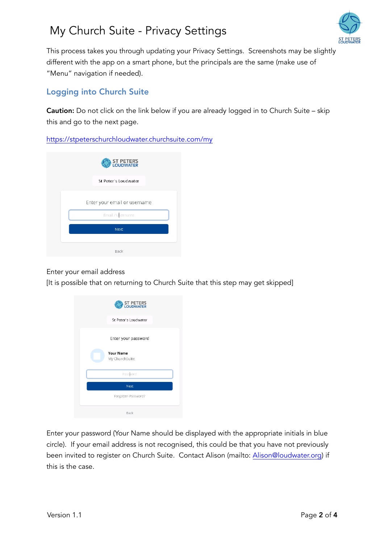

This process takes you through updating your Privacy Settings. Screenshots may be slightly different with the app on a smart phone, but the principals are the same (make use of "Menu" navigation if needed).

### <span id="page-1-0"></span>Logging into Church Suite

**Caution:** Do not click on the link below if you are already logged in to Church Suite – skip this and go to the next page.

<https://stpeterschurchloudwater.churchsuite.com/my>



#### Enter your email address

[It is possible that on returning to Church Suite that this step may get skipped]

| ST PETERS<br>LOUDWATER             |
|------------------------------------|
| St Peter's Loudwater               |
| Enter your password                |
| <b>Your Name</b><br>My ChurchSuite |
| Password                           |
| Next                               |
| Forgotten Password?                |
| Back                               |

Enter your password (Your Name should be displayed with the appropriate initials in blue circle). If your email address is not recognised, this could be that you have not previously been invited to register on Church Suite. Contact Alison (mailto: [Alison@loudwater.org](mailto:Alison@loudwater.org)) if this is the case.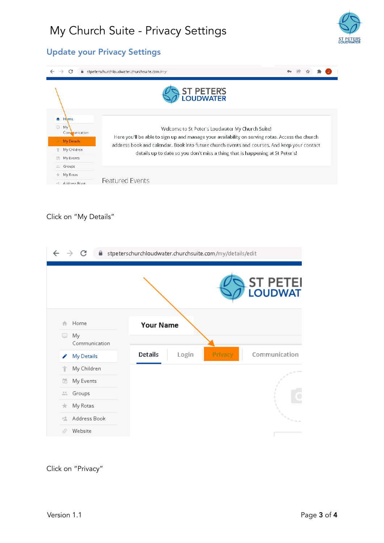

### <span id="page-2-0"></span>Update your Privacy Settings

| C<br>$\rightarrow$                                                      | ■ stpeterschurchloudwater.churchsuite.com/my                                                                                                                                                                                                                                     |  |  |  |  |  |  |  |
|-------------------------------------------------------------------------|----------------------------------------------------------------------------------------------------------------------------------------------------------------------------------------------------------------------------------------------------------------------------------|--|--|--|--|--|--|--|
|                                                                         | <b>ST PETERS</b><br><b>LOUDWATER</b>                                                                                                                                                                                                                                             |  |  |  |  |  |  |  |
| $\bullet$<br><b>Home</b><br>$\qquad \qquad \Box$<br>My<br>Communication | Welcome to St Peter's Loudwater My Church Suite!                                                                                                                                                                                                                                 |  |  |  |  |  |  |  |
| My Details                                                              | Here you'll be able to sign up and manage your availability on serving rotas. Access the church<br>address book and calendar. Book into future church events and courses. And keep your contact<br>details up to date so you don't miss a thing that is happening at St Peter's! |  |  |  |  |  |  |  |
| My Children                                                             |                                                                                                                                                                                                                                                                                  |  |  |  |  |  |  |  |
| 昂<br>My Events                                                          |                                                                                                                                                                                                                                                                                  |  |  |  |  |  |  |  |
| Groups<br>品                                                             |                                                                                                                                                                                                                                                                                  |  |  |  |  |  |  |  |
| My Rotas<br><del>€.</del>                                               |                                                                                                                                                                                                                                                                                  |  |  |  |  |  |  |  |
| Address Rook<br>京堂                                                      | <b>Featured Events</b>                                                                                                                                                                                                                                                           |  |  |  |  |  |  |  |

### Click on "My Details"

| stpeterschurchloudwater.churchsuite.com/my/details/edit<br>Α.<br>C |                      |                             |                                                                       |  |  |
|--------------------------------------------------------------------|----------------------|-----------------------------|-----------------------------------------------------------------------|--|--|
|                                                                    |                      |                             | <b>ST PETEI</b><br>LOUDWAT                                            |  |  |
| A                                                                  | Home                 | <b>Your Name</b>            |                                                                       |  |  |
| o                                                                  | My.<br>Communication |                             |                                                                       |  |  |
| I                                                                  | My Details           | Details<br>Privacy<br>Login | Communication                                                         |  |  |
| Ϋ                                                                  | My Children          |                             |                                                                       |  |  |
| 的                                                                  | My Events            |                             |                                                                       |  |  |
| 品                                                                  | Groups               |                             |                                                                       |  |  |
| the set                                                            | My Rotas             |                             |                                                                       |  |  |
| 栏                                                                  | Address Book         |                             | $\mathcal{O}_{\mathcal{M}_{\mathcal{M}_{\mathcal{M}_{\mathcal{M}}}}}$ |  |  |
| ŵ                                                                  | Website              |                             |                                                                       |  |  |

Click on "Privacy"